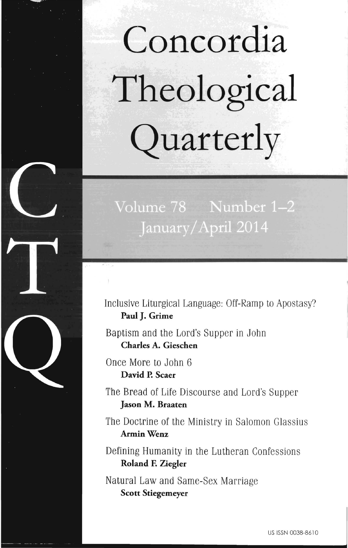# **Concordia Theological Quarterly**

# Volume 78 Number 1-2 January/April 2014

Inclusive Liturgical Language: Off-Ramp to Apostasy? **Paul J. Grime** 

Baptism and the Lord's Supper in John **Charles A. Gieschen** 

Once More to John 6 **David P. Scaer** 

The Bread of Life Discourse and Lord's Supper **Jason M. Braaten** 

The Doctrine of the Ministry in Salomon Glassius **ArminWenz** 

Defining Humanity in the Lutheran Confessions **Roland F. Ziegler** 

Natural Law and Same-Sex Marriage **Scott Stiegemeyer**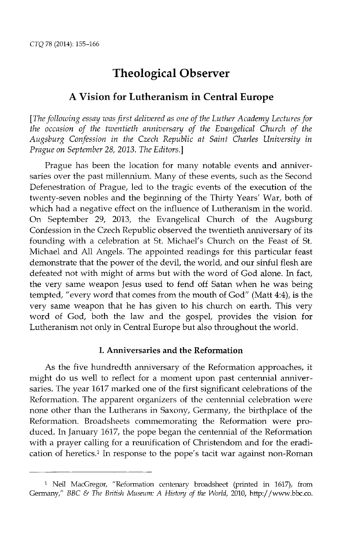# Theological Observer

## A Vision for Lutheranism **in Central** Europe

*[The following essay was first delivered as one of the Luther Academy Lectures for the occasion of the twentieth anniversary of the Evangelical Church of the Augsburg Confession* in *the Czech Republic at Saint Charles University in Prague on September* 28,2013. The *Editors.]* 

Prague has been the location for many notable events and anniversaries over the past millennium. Many of these events, such as the Second Defenestration of Prague, led to the tragic events of the execution of the twenty-seven nobles and the beginning of the Thirty Years' War, both of which had a negative effect on the influence of Lutheranism in the world. On September 29, 2013, the Evangelical Church of the Augsburg Confession in the Czech Republic observed the twentieth amriversary of its founding with a celebration at St. Michael's Church on the Feast of St. Michael and All Angels. The appointed readings for this particular feast demonstrate that the power of the devil, the world, and our sinful flesh are defeated not with might of arms but with the word of God alone. In fact, the very same weapon Jesus used to fend off Satan when he was being tempted, "every word that comes from the mouth of God" (Matt 4:4), is the very same weapon that he has given to his church on earth. This very word of God, both the law and the gospel, provides the vision for Lutheranism not only in Central Europe but also throughout the world.

#### I. Anniversaries and the Reformation

As the five hundredth anniversary of the Reformation approaches, it might do us well to reflect for a moment upon past centennial anniversaries. The year 1617 marked one of the first significant celebrations of the Reformation. The apparent organizers of the centennial celebration were none other than the Lutherans in Saxony, Germany, the birthplace of the Reformation. Broadsheets commemorating the Reformation were produced. In January 1617, the pope began the centennial of the Reformation with a prayer calling for a reunification of Christendom and for the eradication of heretics.1 In response to the pope's tacit war against non-Roman

<sup>&</sup>lt;sup>1</sup> Neil MacGregor, "Reformation centenary broadsheet (printed in 1617), from Germany," *BBC* & *The Britisiz Museum: A History of the World,* 2010, http://www.bbc.co.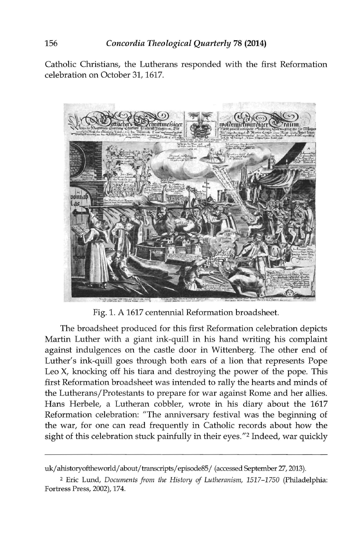Catholic Christians, the Lutherans responded with the first Reformation celebration on October 31, 1617.



Fig. 1. A 1617 centennial Reformation broadsheet.

The broadsheet produced for this first Reformation celebration depicts Martin Luther with a giant ink-quill in his hand writing his complaint against indulgences on the castle door in Wittenberg. The other end of Luther's ink-quill goes through both ears of a lion that represents Pope Leo X, knocking off his tiara and destroying the power of the pope. This first Reformation broadsheet was intended to rally the hearts and minds of the Lutherans/Protestants to prepare for war against Rome and her allies. Hans Herbele, a Lutheran cobbler, wrote in his diary about the 1617 Reformation celebration: "The anniversary festival was the beginning of the war, for one can read frequently in Catholic records about how the sight of this celebration stuck painfully in their eyes."2 Indeed, war quickly

uk/ahistoryoftheworld/about/transcripts/episode85/ (accessed September 27, 2013).

<sup>2</sup> Eric Lund, *Documents from the History of Lutheranism, 1517-1750* (Philadelphia: Fortress Press, 2002), 174.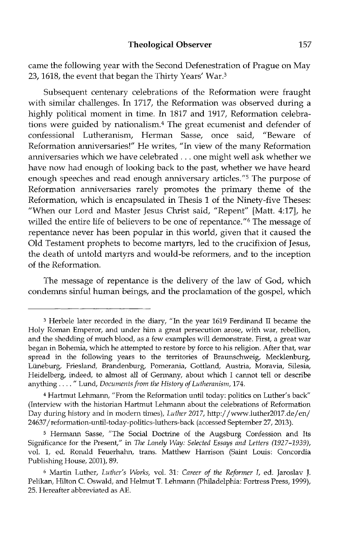came the following year with the Second Defenestration of Prague on May 23,1618, the event that began the Thirty Years' War.3

Subsequent centenary celebrations of the Reformation were fraught with similar challenges. In 1717, the Reformation was observed during a highly political moment in time. In 1817 and 1917, Reformation celebrations were guided by nationalism. 4 The great ecumenist and defender of confessional Lutheranism, Herman Sasse, once said, "Beware of Reformation anniversaries!" He writes, "In view of the many Reformation anniversaries which we have celebrated ... one might well ask whether we have now had enough of looking back to the past, whether we have heard enough speeches and read enough anniversary articles.<sup>"5</sup> The purpose of Reformation anniversaries rarely promotes the primary theme of the Reformation, which is encapsulated in Thesis 1 of the Ninety-five Theses: "VVhen our Lord and Master Jesus Christ said, "Repent" (Matt. 4:17], he willed the entire life of believers to be one of repentance. "6 The message of repentance never has been popular in this world, given that it caused the Old Testament prophets to become martyrs, led to the crucifixion of Jesus, the death of untold martyrs and would-be reformers, and to the inception of the Reformation.

The message of repentance is the delivery of the law of God, which condemns sinful human beings, and the proclamation of the gospel, which

<sup>3</sup> Herbele later recorded in the diary, "In the year 1619 Ferdinand II became the Holy Roman Emperor, and under him a great persecution arose, with war, rebellion, and the shedding of much blood, as a few examples will demonstrate. First, a great war began in Bohemia, which he attempted to restore by force to his religion. After that, war spread in the following years to the territories of Braunschweig, Mecklenburg, Ltineburg, Friesland, Brandenburg, Pomerania, Gottland, Austria, Moravia, Silesia, Heidelberg, indeed, to almost all of Germany, about which I cannot tell or describe anything .... " Lund, *Documents from the History of Lutheranism,* 174.

<sup>4</sup> Hartmut Lehmann, "From the Reformation until today: politics on Luther's back" (Interview with the historian Hartmut Lehmann about the celebrations of Reformation Day during history and in modern times), *Luther 2017,* http://www.luther2017.de/en/ 24637 /reformation-until-today-politics-luthers-back (accessed September 27, 2013).

<sup>5</sup> Hermann Sasse, "The Social Doctrine of the Augsburg Confession and Its Significance for the Present," in *The Lonely Way: Selected Essays and Letters (1927-1939),*  vol. 1, ed. Ronald Feuerhahn, trans. Matthew Harrison (Saint Louis: Concordia Publishing House, 2001), 89.

<sup>6</sup> Martin Luther, *Luther's Works,* vol. 31: *Career of the Reformer I,* ed. Jaroslav J. Pelikan, Hilton C. Oswald, and Helmut T. Lehmann (philadelphia: Fortress Press, 1999), 25. Hereafter abbreviated as AE.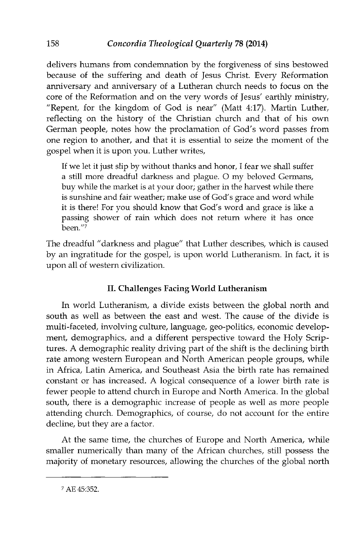delivers humans from condemnation by the forgiveness of sins bestowed because of the suffering and death of Jesus Christ. Every Reformation anniversary and anniversary of a Lutheran church needs to focus on the core of the Reformation and on the very words of Jesus' earthly ministry, *"Repent,* for the kingdom of God is near" (Matt 4:17). Martin Luther, reflecting on the history of the Christian church and that of his own German people, notes how the proclamation of God's word passes from one region to another, and that it is essential to seize the moment of the gospel when it is upon you. Luther writes,

If we let it just slip by without thanks and honor, I fear we shall suffer a still more dreadful darkness and plague. 0 my beloved Germans, buy while the market is at your door; gather in the harvest while there is sunshine and fair weather; make use of God's grace and word while it is there! For you should know that God's word and grace is like a passing shower of rain which does not return where it has once  $\bar{\mathrm{b}}$ een. $^{\prime\prime}$ 7

The dreadful" darkness and plague" that Luther describes, which is caused by an ingratitude for the gospel, is upon world Lutheranism. In fact, it is upon all of western civilization.

# II. Challenges Facing World Lutheranism

In world Lutheranism, a divide exists between the global north and south as well as between the east and west. The cause of the divide is multi-faceted, involving culture, language, geo-politics, economic development, demographics, and a different perspective toward the Holy Scriptures. A demographic reality driving part of the shift is the declining birth rate among western European and North American people groups, while in Africa, Latin America, and Southeast Asia the birth rate has remained constant or has increased. A logical consequence of a lower birth rate is fewer people to attend church in Europe and North America. In the global south, there is a demographic increase of people as well as more people attending church. Demographics, of course, do not account for the entire decline, but they are a factor.

At the same time, the churches of Europe and North America, while smaller numerically than many of the African churches, still possess the majority of monetary resources, allowing the churches of the global north

7 AE45:352.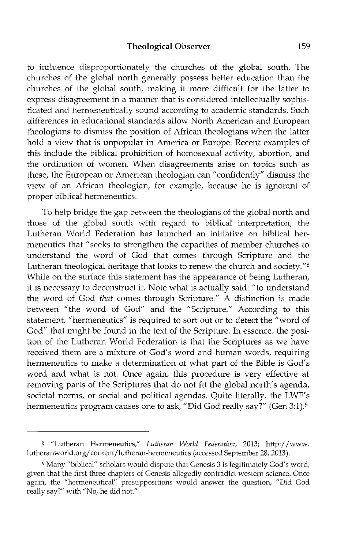to influence disproportionately the churches of the global south. The churches of the global north generally possess better education than the churches of the global south, making it more difficult for the latter to express disagreement in a manner that is considered intellectually sophisticated and hermeneutically sound according to academic standards. Such differences in educational standards allow North American and European theologians to dismiss the position of African theologians when the latter hold a view that is unpopular in America or Europe. Recent examples of this include the biblical prohibition of homosexual activity, abortion, and the ordination of women. When disagreements arise on topics such as these, the European or American theologian can "confidently" dismiss the view of an African theologian, for example, because he is ignorant of proper biblical hermeneutics.

To help bridge the gap between the theologians of the global north and those of the global south with regard to biblical interpretation, the Lutheran World Federation has launched an initiative on biblical hermeneutics that" seeks to strengthen the capacities of member churches to understand the word of God that comes through Scripture and the Lutheran theological heritage that looks to renew the church and society."<sup>8</sup> While on the surface this statement has the appearance of being Lutheran, it is necessary to deconstruct it. Note what is actually said: "to understand the word of God *that* comes through Scripture." A distinction is made between "the word of God" and the "Scripture." According to this statement, "hermeneutics" is required to sort out or to detect the "word of God" that might be found in the text of the Scripture. In essence, the position of the Lutheran World Federation is that the Scriptures as we have received them are a mixture of God's word and human words, requiring hermeneutics to make a determination of what part of the Bible is God's word and what is not. Once again, this procedure is very effective at removing parts of the Scriptures that do not fit the global north's agenda, societal norms, or social and political agendas. Quite literally, the LWF's hermeneutics program causes one to ask, "Did God really say?" (Gen 3:1).<sup>9</sup>

<sup>&</sup>lt;sup>8</sup> "Lutheran Hermeneutics," *Lutheran World Federation*, 2013; http://www. lutheranworld.org/ content/lutheran-hermeneutics (accessed September 28, 2013).

<sup>&</sup>lt;sup>9</sup> Many "biblical" scholars would dispute that Genesis 3 is legitimately God's word, given that the first three chapters of Genesis allegedly contradict western science. Once again, the "hermeneutical" presuppositions would answer the question, "Did God really say?" with "No, he did not."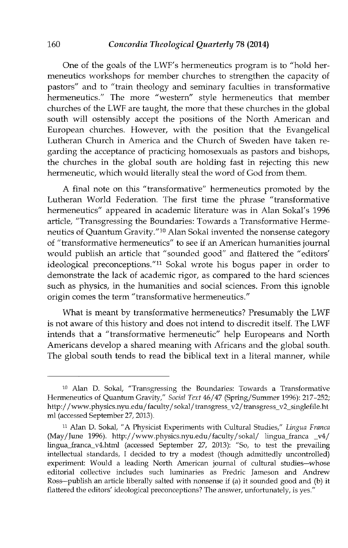One of the goals of the LWF's hermeneutics program is to "hold hermeneutics workshops for member churches to strengthen the capacity of pastors" and to "train theology and seminary faculties in transformative hermeneutics." The more "western" style hermeneutics that member churches of the LWF are taught, the more that these churches in the global south will ostensibly accept the positions of the North American and European churches. However, with the position that the Evangelical Lutheran Church in America and the Church of Sweden have taken regarding the acceptance of practicing homosexuals as pastors and bishops, the churches in the global south are holding fast in rejecting this new hermeneutic, which would literally steal the word of God from them.

A final note on this "transformative" hermeneutics promoted by the Lutheran World Federation. The first time the phrase "transformative hermeneutics" appeared in academic literature was in Alan Sokal's 1996 article, "Transgressing the Boundaries: Towards a Transformative Hermeneutics of Quantum Gravity."<sup>10</sup> Alan Sokal invented the nonsense category of "transformative hermeneutics" to see if an American humanities journal would publish an article that "sounded good" and flattered the "editors' ideological preconceptions."<sup>11</sup> Sokal wrote his bogus paper in order to demonstrate the lack of academic rigor, as compared to the hard sciences such as physics, in the humanities and social sciences. From this ignoble origin comes the term "transformative hermeneutics."

What is meant by transformative hermeneutics? Presumably the LWF is not aware of this history and does not intend to discredit itself. The LWF intends that a "transformative hermeneutic" help Europeans and North Americans develop a shared meaning with Africans and the global south. The global south tends to read the biblical text in a literal manner, while

<sup>10</sup> Alan D. Sokal, "Transgressing the Boundaries: Towards a Transformative Hermeneutics of Quantum Gravity," Social Text 46/47 (Spring/Summer 1996): 217-252; http://www.physics.nyu.edu/faculty/sokal/transgress\_v2/transgress\_v2\_singlefile.ht m1 (accessed September 27,2013).

<sup>&</sup>lt;sup>11</sup> Alan D. Sokal, "A Physicist Experiments with Cultural Studies," Lingua Franca  $(May/June 1996)$ . http://www.physics.nyu.edu/faculty/sokal/ lingua\_franca  $v4/$ lingua\_franca\_ v4.html (accessed September 27, 2013): "So, to test the prevailing intellectual standards, I decided to try a modest (though admittedly uncontrolled) experiment: Would a leading North American journal of cultural studies-whose editorial collective includes such luminaries as Fredric Jameson and Andrew Ross-publish an article liberally salted with nonsense if (a) it sounded good and (b) it flattered the editors' ideological preconceptions? The answer, unfortunately, is yes."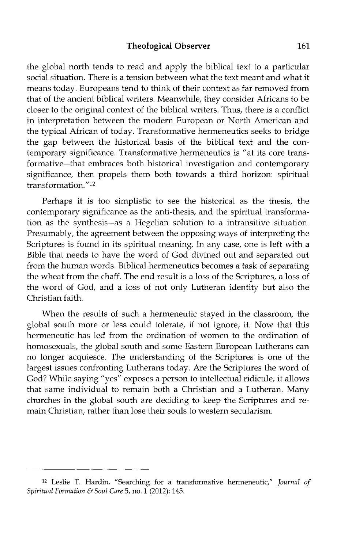#### **Theological Observer** 161

the global north tends to read and apply the biblical text to a particular social situation. There is a tension between what the text meant and what it means today. Europeans tend to think of their context as far removed from that of the ancient biblical writers. Meanwhile, they consider Africans to be closer to the original context of the biblical writers. Thus, there is a conflict in interpretation between the modern European or North American and the typical African of today. Transformative hermeneutics seeks to bridge the gap between the historical basis of the biblical text and the contemporary significance. Transformative hermeneutics is "at its core transformative-that embraces both historical investigation and contemporary significance, then propels them both towards a third horizon: spiritual transformation."12

Perhaps it is too simplistic to see the historical as the thesis, the contemporary significance as the anti-thesis, and the spiritual transformation as the synthesis—as a Hegelian solution to a intransitive situation. Presumably, the agreement between the opposing ways of interpreting the Scriptures is found in its spiritual meaning. In any case, one is left with a Bible that needs to have the word of God divined out and separated out from the human words. Biblical hermeneutics becomes a task of separating the wheat from the chaff. The end result is a loss of the Scriptures, a loss of the word of God, and a loss of not only Lutheran identity but also the Christian faith.

When the results of such a hermeneutic stayed in the classroom, the global south more or less could tolerate, if not ignore, it. Now that this hermeneutic has led from the ordination of women to the ordination of homosexuals, the global south and some Eastern European Lutherans can no longer acquiesce. The understanding of the Scriptures is one of the largest issues confronting Lutherans today. Are the Scriptures the word of God? While saying "yes" exposes a person to intellectual ridicule, it allows that same individual to remain both a Christian and a Lutheran. Many churches in the global south are deciding to keep the Scriptures and remain Christian, rather than lose their souls to western secularism.

<sup>12</sup> Leslie T. Hardin, "Searching for a transformative hermeneutic," *Journal of Spiritual Formation* & *Soul Care* 5, no. 1 (2012): 145.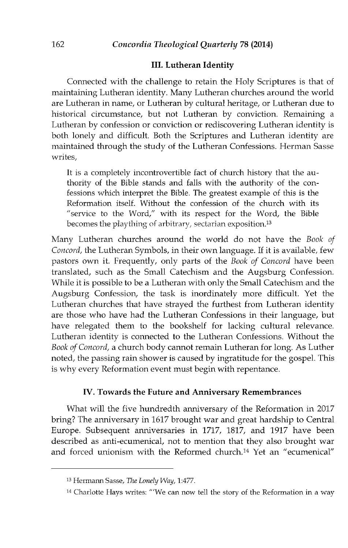#### III. Lutheran Identity

Connected with the challenge to retain the Holy Scriptures is that of maintaining Lutheran identity. Many Lutheran churches around the world are Lutheran in name, or Lutheran by cultural heritage, or Lutheran due to historical circumstance, but not Lutheran by conviction. Remaining a Lutheran by confession or conviction or rediscovering Lutheran identity is both lonely and difficult. Both the Scriptures and Lutheran identity are maintained through the study of the Lutheran Confessions. Herman Sasse writes,

It is a completely incontrovertible fact of church history that the authority of the Bible stands and falls with the authority of the confessions which interpret the Bible. The greatest example of this is the Reformation itself. Without the confession of the church with its "service to the Word," with its respect for the Word, the Bible becomes the plaything of arbitrary, sectarian exposition.<sup>13</sup>

Many Lutheran churches around the world do not have the *Book of Concord,* the Lutheran Symbols, in their own language. If it is available, few pastors own it. Frequently, only parts of the *Book of Concord* have been translated, such as the Small Catechism and the Augsburg Confession. While it is possible to be a Lutheran with only the Small Catechism and the Augsburg Confession, the task is inordinately more difficult. Yet the Lutheran churches that have strayed the furthest from Lutheran identity are those who have had the Lutheran Confessions in their language, but have relegated them to the bookshelf for lacking cultural relevance. Lutheran identity is connected to the Lutheran Confessions. Without the *Book of Concord,* a church body cannot remain Lutheran for long. As Luther noted, the passing rain shower is caused by ingratitude for the gospel. This is why every Reformation event must begin with repentance.

#### IV. Towards the Future and Anniversary Remembrances

What will the five hundredth anniversary of the Reformation in 2017 bring? The anniversary in 1617 brought war and great hardship to Central Europe. Subsequent anniversaries in 1717, 1817, and 1917 have been described as anti-ecumenical, not to mention that they also brought war and forced unionism with the Reformed church.14 Yet an "ecumenical"

<sup>13</sup> Hermann Sasse, *The Lonely Way, 1:477.* 

 $14$  Charlotte Hays writes: "'We can now tell the story of the Reformation in a way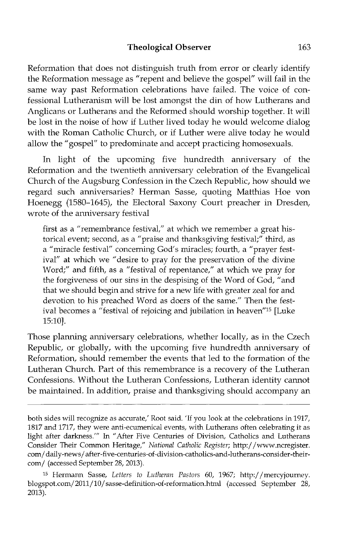#### **Theological Observer** 163

Reformation that does not distinguish truth from error or clearly identify the Reformation message as "repent and believe the gospel" will fail in the same way past Reformation celebrations have failed. The voice of confessional Lutheranism will be lost amongst the din of how Lutherans and Anglicans or Lutherans and the Reformed should worship together. It will be lost in the noise of how if Luther lived today he would welcome dialog with the Roman Catholic Church, or if Luther were alive today he would allow the "gospel" to predominate and accept practicing homosexuals.

In light of the upcoming five hundredth anniversary of the Reformation and the twentieth anniversary celebration of the Evangelical Church of the Augsburg Confession in the Czech Republic, how should we regard such anniversaries? Herman Sasse, quoting Matthias Hoe von Hoenegg (1580-1645), the Electoral Saxony Court preacher in Dresden, wrote of the anniversary festival

first as a "remembrance festival," at which we remember a great historical event; second, as a "praise and thanksgiving festival;" third, as a "miracle festival" concerning God's miracles; fourth, a "prayer festival" at which we "desire to pray for the preservation of the divine Word;" and fifth, as a "festival of repentance," at which we pray for the forgiveness of our sins in the despising of the Word of God, "and that we should begin and strive for a new life with greater zeal for and devotion to his preached Word as doers of the same." Then the festival becomes a "festival of rejoicing and jubilation in heaven<sup>"15</sup> [Luke 15:10].

Those planning anniversary celebrations, whether locally, as in the Czech Republic, or globally, with the upcoming five hundredth anniversary of Reformation, should remember the events that led to the formation of the Lutheran Church. Part of this remembrance is a recovery of the Lutheran Confessions. Without the Lutheran Confessions, Lutheran identity cannot be maintained. In addition, praise and thanksgiving should accompany an

both sides will recognize as accurate,' Root said. 'If you look at the celebrations in 1917, 1817 and 1717, they were anti-ecumenical events, with Lutherans often celebrating it as light after darkness.'" In "After Five Centuries of Division, Catholics and Lutherans Consider Their Common Heritage," *National Catholic Register;* http://www.ncregister. com/ daily-news/ after-five-centuries-of-division-catholics-and-lutherans-consider-theircom/ (accessed September 28, 2013).

<sup>15</sup> Hermann Sasse, *Letters to Lutheran Pastors* 60, 1967; *http:j* /mercyjourney. blogspot.com/201l/10/ sasse-definition-of-reformation.html (accessed September 28, 2013).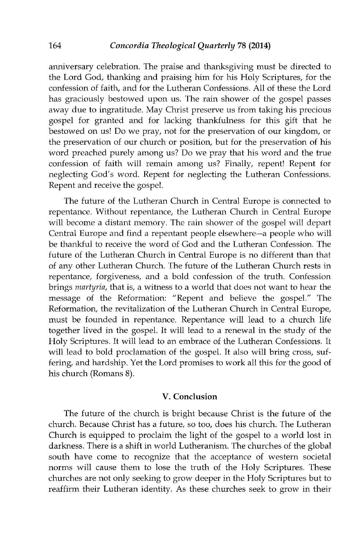anniversary celebration. The praise and thanksgiving must be directed to the Lord God, thanking and praising him for his Holy Scriptures, for the confession of faith, and for the Lutheran Confessions. All of these the Lord has graciously bestowed upon us. The rain shower of the gospel passes away due to ingratitude. May Christ preserve us from taking his precious gospel for granted and for lacking thankfulness for this gift that he bestowed on us! Do we pray, not for the preservation of our kingdom, or the preservation of our church or position, but for the preservation of his word preached purely among us? Do we pray that his word and the true confession of faith will remain among us? Finally, repent! Repent for neglecting God's word. Repent for neglecting the Lutheran Confessions. Repent and receive the gospel.

The future of the Lutheran Church in Central Europe is connected to repentance. Without repentance, the Lutheran Church in Central Europe will become a distant memory. The rain shower of the gospel will depart Central Europe and find a repentant people elsewhere-a people who will be thankful to receive the word of God and the Lutheran Confession. The future of the Lutheran Church in Central Europe is no different than that of any other Lutheran Church. The future of the Lutheran Church rests in repentance, forgiveness, and a bold confession of the truth. Confession brings *martyria,* that is, a witness to a world that does not want to hear the message of the Reformation: "Repent and believe the gospel." The Reformation, the revitalization of the Lutheran Church in Central Europe, must be founded in repentance. Repentance will lead to a church life together lived in the gospel. It will lead to a renewal in the study of the Holy Scriptures. It will lead to an embrace of the Lutheran Confessions. It will lead to bold proclamation of the gospel. It also will bring cross, suffering, and hardship. Yet the Lord promises to work all this for the good of his church (Romans 8).

#### V. **Conclusion**

The future of the church is bright because Christ is the future of the church. Because Christ has a future, so too, does his church. The Lutheran Church is equipped to proclaim the light of the gospel to a world lost in darkness. There is a shift in world Lutheranism. The churches of the global south have come to recognize that the acceptance of western societal norms will cause them to lose the truth of the Holy Scriptures. These churches are not only seeking to grow deeper in the Holy Scriptures but to reaffirm their Lutheran identity. As these churches seek to grow in their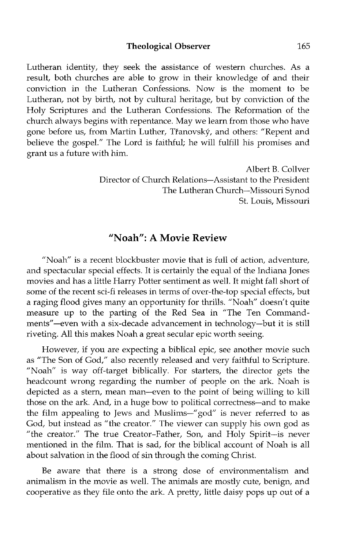Lutheran identity, they seek the assistance of western churches. As a result, both churches are able to grow in their knowledge of and their conviction in the Lutheran Confessions. Now is the moment to be Lutheran, not by birth, not by cultural heritage, but by conviction of the Holy Scriptures and the Lutheran Confessions. The Reformation of the church always begins with repentance. May we learn from those who have gone before us, from Martin Luther, Tranovsky, and others: "Repent and believe the gospel." The Lord is faithful; he will fulfill his promises and grant us a future with him.

> Albert B. Collver Director of Church Relations-Assistant to the President The Lutheran Church-Missouri Synod St. Louis, Missouri

### "Noah": A Movie Review

"Noah" is a recent blockbuster movie that is full of action, adventure, and spectacular special effects. It is certainly the equal of the Indiana Jones movies and has a little Harry Potter sentiment as well. It might fall short of some of the recent sci-fi releases in terms of over-the-top special effects, but a raging flood gives many an opportunity for thrills. "Noah" doesn't quite measure up to the parting of the Red Sea in "The Ten Commandments"—even with a six-decade advancement in technology—but it is still riveting. All this makes Noah a great secular epic worth seeing.

However, if you are expecting a biblical epic, see another movie such as "The Son of God," also recently released and very faithful to Scripture. "Noah" is way off-target biblically. For starters, the director gets the headcount wrong regarding the number of people on the ark. Noah is depicted as a stem, mean man-even to the point of being willing to kill those on the ark. And, in a huge bow to political correctness-and to make the film appealing to Jews and *Muslims-"* god" is never referred to as God, but instead as "the creator." The viewer can supply his own god as "the creator." The true Creator-Father, Son, and Holy Spirit-is never mentioned in the film. That is sad, for the biblical account of Noah is all about salvation in the flood of sin through the coming Christ.

Be aware that there is a strong dose of environmentalism and animalism in the movie as well. The animals are mostly cute, benign, and cooperative as they file onto the ark. A pretty, little daisy pops up out of a